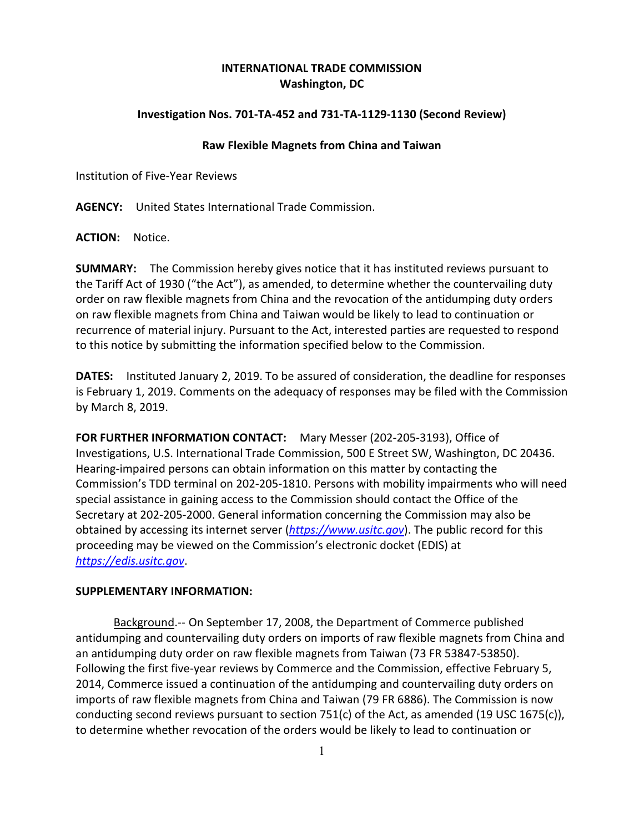## **INTERNATIONAL TRADE COMMISSION Washington, DC**

## **Investigation Nos. 701-TA-452 and 731-TA-1129-1130 (Second Review)**

## **Raw Flexible Magnets from China and Taiwan**

Institution of Five-Year Reviews

**AGENCY:** United States International Trade Commission.

**ACTION:** Notice.

**SUMMARY:** The Commission hereby gives notice that it has instituted reviews pursuant to the Tariff Act of 1930 ("the Act"), as amended, to determine whether the countervailing duty order on raw flexible magnets from China and the revocation of the antidumping duty orders on raw flexible magnets from China and Taiwan would be likely to lead to continuation or recurrence of material injury. Pursuant to the Act, interested parties are requested to respond to this notice by submitting the information specified below to the Commission.

**DATES:** Instituted January 2, 2019. To be assured of consideration, the deadline for responses is February 1, 2019. Comments on the adequacy of responses may be filed with the Commission by March 8, 2019.

**FOR FURTHER INFORMATION CONTACT:** Mary Messer (202-205-3193), Office of Investigations, U.S. International Trade Commission, 500 E Street SW, Washington, DC 20436. Hearing-impaired persons can obtain information on this matter by contacting the Commission's TDD terminal on 202-205-1810. Persons with mobility impairments who will need special assistance in gaining access to the Commission should contact the Office of the Secretary at 202-205-2000. General information concerning the Commission may also be obtained by accessing its internet server (*[https://www.usitc.gov](https://www.usitc.gov/)*). The public record for this proceeding may be viewed on the Commission's electronic docket (EDIS) at *[https://edis.usitc.gov](https://edis.usitc.gov/)*.

## **SUPPLEMENTARY INFORMATION:**

Background.-- On September 17, 2008, the Department of Commerce published antidumping and countervailing duty orders on imports of raw flexible magnets from China and an antidumping duty order on raw flexible magnets from Taiwan (73 FR 53847-53850). Following the first five-year reviews by Commerce and the Commission, effective February 5, 2014, Commerce issued a continuation of the antidumping and countervailing duty orders on imports of raw flexible magnets from China and Taiwan (79 FR 6886). The Commission is now conducting second reviews pursuant to section 751(c) of the Act, as amended (19 USC 1675(c)), to determine whether revocation of the orders would be likely to lead to continuation or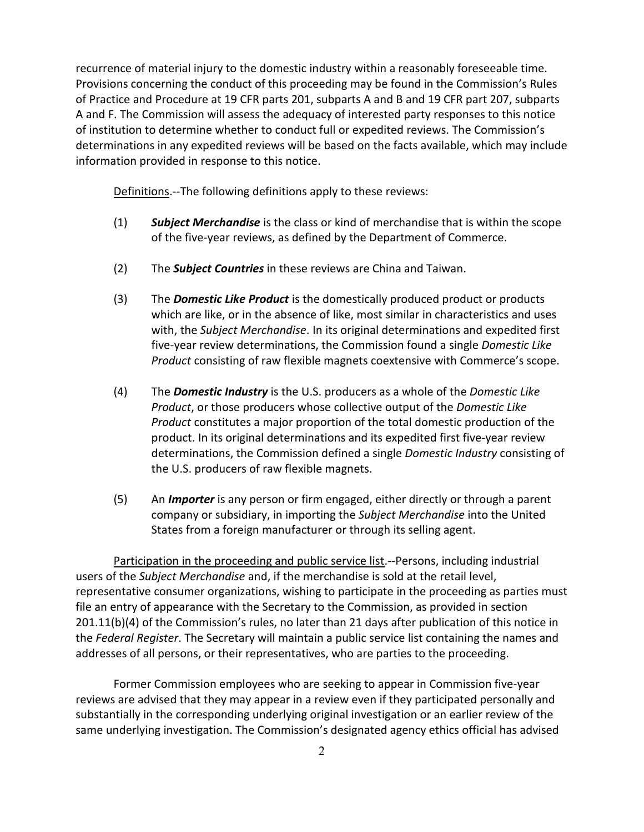recurrence of material injury to the domestic industry within a reasonably foreseeable time. Provisions concerning the conduct of this proceeding may be found in the Commission's Rules of Practice and Procedure at 19 CFR parts 201, subparts A and B and 19 CFR part 207, subparts A and F. The Commission will assess the adequacy of interested party responses to this notice of institution to determine whether to conduct full or expedited reviews. The Commission's determinations in any expedited reviews will be based on the facts available, which may include information provided in response to this notice.

Definitions.--The following definitions apply to these reviews:

- (1) *Subject Merchandise* is the class or kind of merchandise that is within the scope of the five-year reviews, as defined by the Department of Commerce.
- (2) The *Subject Countries* in these reviews are China and Taiwan.
- (3) The *Domestic Like Product* is the domestically produced product or products which are like, or in the absence of like, most similar in characteristics and uses with, the *Subject Merchandise*. In its original determinations and expedited first five-year review determinations, the Commission found a single *Domestic Like Product* consisting of raw flexible magnets coextensive with Commerce's scope.
- (4) The *Domestic Industry* is the U.S. producers as a whole of the *Domestic Like Product*, or those producers whose collective output of the *Domestic Like Product* constitutes a major proportion of the total domestic production of the product. In its original determinations and its expedited first five-year review determinations, the Commission defined a single *Domestic Industry* consisting of the U.S. producers of raw flexible magnets.
- (5) An *Importer* is any person or firm engaged, either directly or through a parent company or subsidiary, in importing the *Subject Merchandise* into the United States from a foreign manufacturer or through its selling agent.

Participation in the proceeding and public service list.--Persons, including industrial users of the *Subject Merchandise* and, if the merchandise is sold at the retail level, representative consumer organizations, wishing to participate in the proceeding as parties must file an entry of appearance with the Secretary to the Commission, as provided in section 201.11(b)(4) of the Commission's rules, no later than 21 days after publication of this notice in the *Federal Register*. The Secretary will maintain a public service list containing the names and addresses of all persons, or their representatives, who are parties to the proceeding.

Former Commission employees who are seeking to appear in Commission five-year reviews are advised that they may appear in a review even if they participated personally and substantially in the corresponding underlying original investigation or an earlier review of the same underlying investigation. The Commission's designated agency ethics official has advised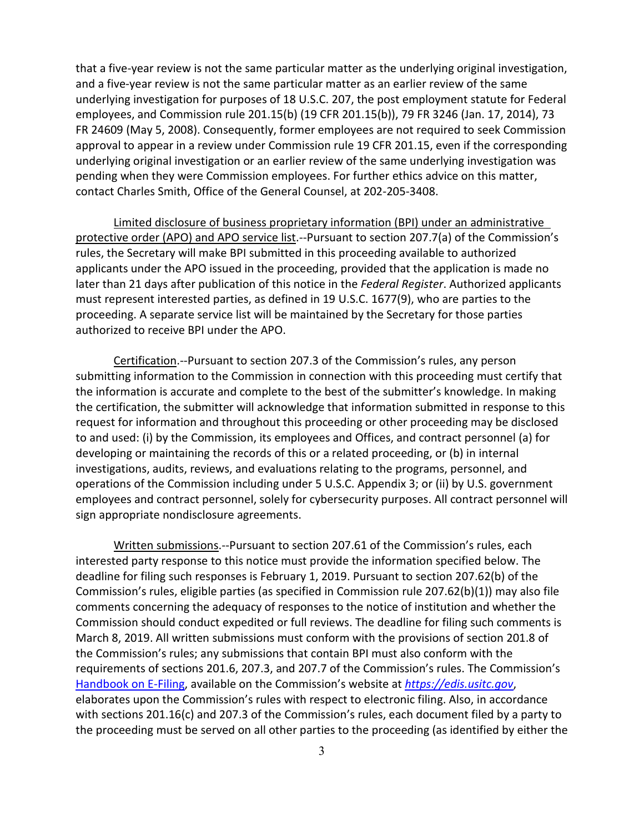that a five-year review is not the same particular matter as the underlying original investigation, and a five-year review is not the same particular matter as an earlier review of the same underlying investigation for purposes of 18 U.S.C. 207, the post employment statute for Federal employees, and Commission rule 201.15(b) (19 CFR 201.15(b)), 79 FR 3246 (Jan. 17, 2014), 73 FR 24609 (May 5, 2008). Consequently, former employees are not required to seek Commission approval to appear in a review under Commission rule 19 CFR 201.15, even if the corresponding underlying original investigation or an earlier review of the same underlying investigation was pending when they were Commission employees. For further ethics advice on this matter, contact Charles Smith, Office of the General Counsel, at 202-205-3408.

Limited disclosure of business proprietary information (BPI) under an administrative protective order (APO) and APO service list.--Pursuant to section 207.7(a) of the Commission's rules, the Secretary will make BPI submitted in this proceeding available to authorized applicants under the APO issued in the proceeding, provided that the application is made no later than 21 days after publication of this notice in the *Federal Register*. Authorized applicants must represent interested parties, as defined in 19 U.S.C. 1677(9), who are parties to the proceeding. A separate service list will be maintained by the Secretary for those parties authorized to receive BPI under the APO.

Certification.--Pursuant to section 207.3 of the Commission's rules, any person submitting information to the Commission in connection with this proceeding must certify that the information is accurate and complete to the best of the submitter's knowledge. In making the certification, the submitter will acknowledge that information submitted in response to this request for information and throughout this proceeding or other proceeding may be disclosed to and used: (i) by the Commission, its employees and Offices, and contract personnel (a) for developing or maintaining the records of this or a related proceeding, or (b) in internal investigations, audits, reviews, and evaluations relating to the programs, personnel, and operations of the Commission including under 5 U.S.C. Appendix 3; or (ii) by U.S. government employees and contract personnel, solely for cybersecurity purposes. All contract personnel will sign appropriate nondisclosure agreements.

Written submissions.--Pursuant to section 207.61 of the Commission's rules, each interested party response to this notice must provide the information specified below. The deadline for filing such responses is February 1, 2019. Pursuant to section 207.62(b) of the Commission's rules, eligible parties (as specified in Commission rule 207.62(b)(1)) may also file comments concerning the adequacy of responses to the notice of institution and whether the Commission should conduct expedited or full reviews. The deadline for filing such comments is March 8, 2019. All written submissions must conform with the provisions of section 201.8 of the Commission's rules; any submissions that contain BPI must also conform with the requirements of sections 201.6, 207.3, and 207.7 of the Commission's rules. The Commission's [Handbook on E-Filing,](https://www.usitc.gov/documents/handbook_on_filing_procedures.pdf) available on the Commission's website at *[https://edis.usitc.gov](https://edis.usitc.gov/)*, elaborates upon the Commission's rules with respect to electronic filing. Also, in accordance with sections 201.16(c) and 207.3 of the Commission's rules, each document filed by a party to the proceeding must be served on all other parties to the proceeding (as identified by either the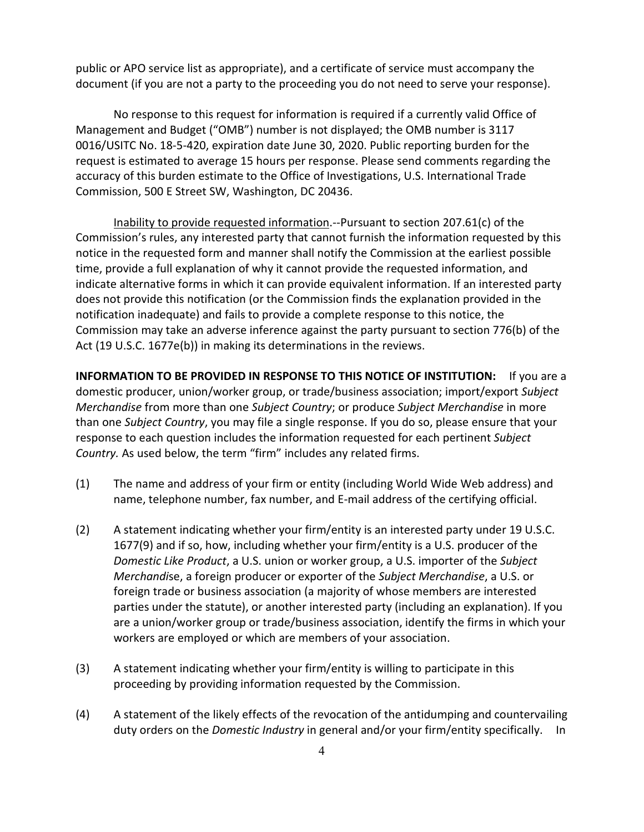public or APO service list as appropriate), and a certificate of service must accompany the document (if you are not a party to the proceeding you do not need to serve your response).

No response to this request for information is required if a currently valid Office of Management and Budget ("OMB") number is not displayed; the OMB number is 3117 0016/USITC No. 18-5-420, expiration date June 30, 2020. Public reporting burden for the request is estimated to average 15 hours per response. Please send comments regarding the accuracy of this burden estimate to the Office of Investigations, U.S. International Trade Commission, 500 E Street SW, Washington, DC 20436.

Inability to provide requested information.--Pursuant to section 207.61(c) of the Commission's rules, any interested party that cannot furnish the information requested by this notice in the requested form and manner shall notify the Commission at the earliest possible time, provide a full explanation of why it cannot provide the requested information, and indicate alternative forms in which it can provide equivalent information. If an interested party does not provide this notification (or the Commission finds the explanation provided in the notification inadequate) and fails to provide a complete response to this notice, the Commission may take an adverse inference against the party pursuant to section 776(b) of the Act (19 U.S.C. 1677e(b)) in making its determinations in the reviews.

**INFORMATION TO BE PROVIDED IN RESPONSE TO THIS NOTICE OF INSTITUTION:** If you are a domestic producer, union/worker group, or trade/business association; import/export *Subject Merchandise* from more than one *Subject Country*; or produce *Subject Merchandise* in more than one *Subject Country*, you may file a single response. If you do so, please ensure that your response to each question includes the information requested for each pertinent *Subject Country.* As used below, the term "firm" includes any related firms.

- (1) The name and address of your firm or entity (including World Wide Web address) and name, telephone number, fax number, and E-mail address of the certifying official.
- (2) A statement indicating whether your firm/entity is an interested party under 19 U.S.C. 1677(9) and if so, how, including whether your firm/entity is a U.S. producer of the *Domestic Like Product*, a U.S. union or worker group, a U.S. importer of the *Subject Merchandi*se, a foreign producer or exporter of the *Subject Merchandise*, a U.S. or foreign trade or business association (a majority of whose members are interested parties under the statute), or another interested party (including an explanation). If you are a union/worker group or trade/business association, identify the firms in which your workers are employed or which are members of your association.
- (3) A statement indicating whether your firm/entity is willing to participate in this proceeding by providing information requested by the Commission.
- (4) A statement of the likely effects of the revocation of the antidumping and countervailing duty orders on the *Domestic Industry* in general and/or your firm/entity specifically. In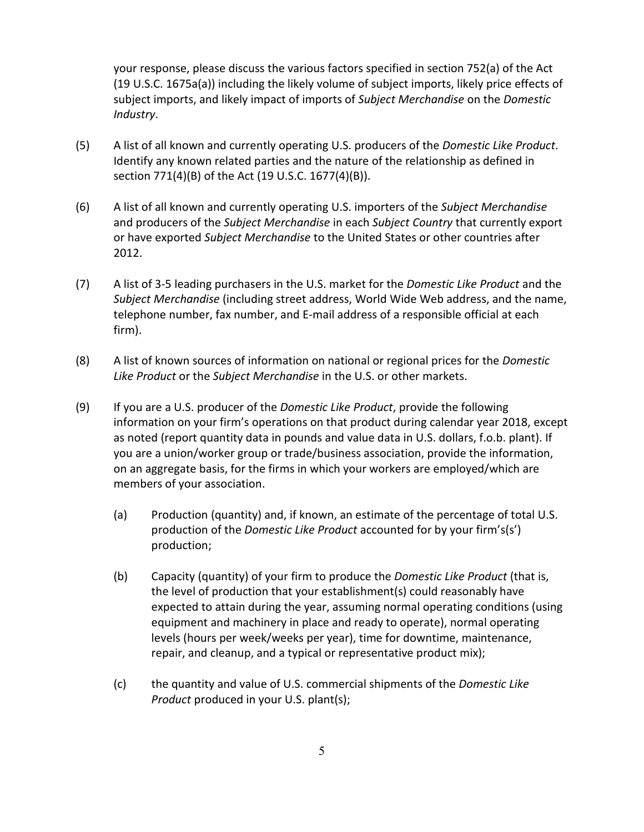your response, please discuss the various factors specified in section 752(a) of the Act (19 U.S.C. 1675a(a)) including the likely volume of subject imports, likely price effects of subject imports, and likely impact of imports of *Subject Merchandise* on the *Domestic Industry*.

- (5) A list of all known and currently operating U.S. producers of the *Domestic Like Product*. Identify any known related parties and the nature of the relationship as defined in section 771(4)(B) of the Act (19 U.S.C. 1677(4)(B)).
- (6) A list of all known and currently operating U.S. importers of the *Subject Merchandise* and producers of the *Subject Merchandise* in each *Subject Country* that currently export or have exported *Subject Merchandise* to the United States or other countries after 2012.
- (7) A list of 3-5 leading purchasers in the U.S. market for the *Domestic Like Product* and the *Subject Merchandise* (including street address, World Wide Web address, and the name, telephone number, fax number, and E-mail address of a responsible official at each firm).
- (8) A list of known sources of information on national or regional prices for the *Domestic Like Product* or the *Subject Merchandise* in the U.S. or other markets.
- (9) If you are a U.S. producer of the *Domestic Like Product*, provide the following information on your firm's operations on that product during calendar year 2018, except as noted (report quantity data in pounds and value data in U.S. dollars, f.o.b. plant). If you are a union/worker group or trade/business association, provide the information, on an aggregate basis, for the firms in which your workers are employed/which are members of your association.
	- (a) Production (quantity) and, if known, an estimate of the percentage of total U.S. production of the *Domestic Like Product* accounted for by your firm's(s') production;
	- (b) Capacity (quantity) of your firm to produce the *Domestic Like Product* (that is, the level of production that your establishment(s) could reasonably have expected to attain during the year, assuming normal operating conditions (using equipment and machinery in place and ready to operate), normal operating levels (hours per week/weeks per year), time for downtime, maintenance, repair, and cleanup, and a typical or representative product mix);
	- (c) the quantity and value of U.S. commercial shipments of the *Domestic Like Product* produced in your U.S. plant(s);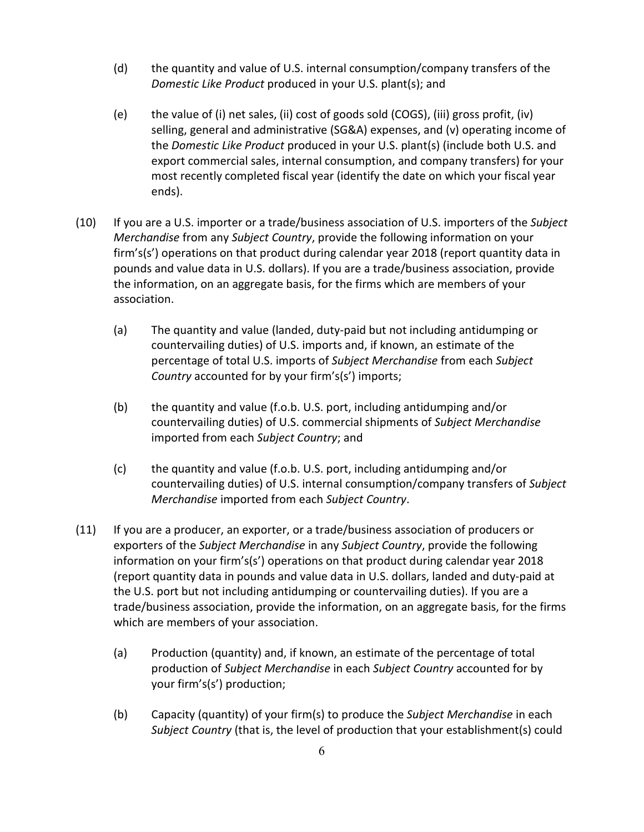- (d) the quantity and value of U.S. internal consumption/company transfers of the *Domestic Like Product* produced in your U.S. plant(s); and
- (e) the value of (i) net sales, (ii) cost of goods sold (COGS), (iii) gross profit, (iv) selling, general and administrative (SG&A) expenses, and (v) operating income of the *Domestic Like Product* produced in your U.S. plant(s) (include both U.S. and export commercial sales, internal consumption, and company transfers) for your most recently completed fiscal year (identify the date on which your fiscal year ends).
- (10) If you are a U.S. importer or a trade/business association of U.S. importers of the *Subject Merchandise* from any *Subject Country*, provide the following information on your firm's(s') operations on that product during calendar year 2018 (report quantity data in pounds and value data in U.S. dollars). If you are a trade/business association, provide the information, on an aggregate basis, for the firms which are members of your association.
	- (a) The quantity and value (landed, duty-paid but not including antidumping or countervailing duties) of U.S. imports and, if known, an estimate of the percentage of total U.S. imports of *Subject Merchandise* from each *Subject Country* accounted for by your firm's(s') imports;
	- (b) the quantity and value (f.o.b. U.S. port, including antidumping and/or countervailing duties) of U.S. commercial shipments of *Subject Merchandise* imported from each *Subject Country*; and
	- (c) the quantity and value (f.o.b. U.S. port, including antidumping and/or countervailing duties) of U.S. internal consumption/company transfers of *Subject Merchandise* imported from each *Subject Country*.
- (11) If you are a producer, an exporter, or a trade/business association of producers or exporters of the *Subject Merchandise* in any *Subject Country*, provide the following information on your firm's(s') operations on that product during calendar year 2018 (report quantity data in pounds and value data in U.S. dollars, landed and duty-paid at the U.S. port but not including antidumping or countervailing duties). If you are a trade/business association, provide the information, on an aggregate basis, for the firms which are members of your association.
	- (a) Production (quantity) and, if known, an estimate of the percentage of total production of *Subject Merchandise* in each *Subject Country* accounted for by your firm's(s') production;
	- (b) Capacity (quantity) of your firm(s) to produce the *Subject Merchandise* in each *Subject Country* (that is, the level of production that your establishment(s) could